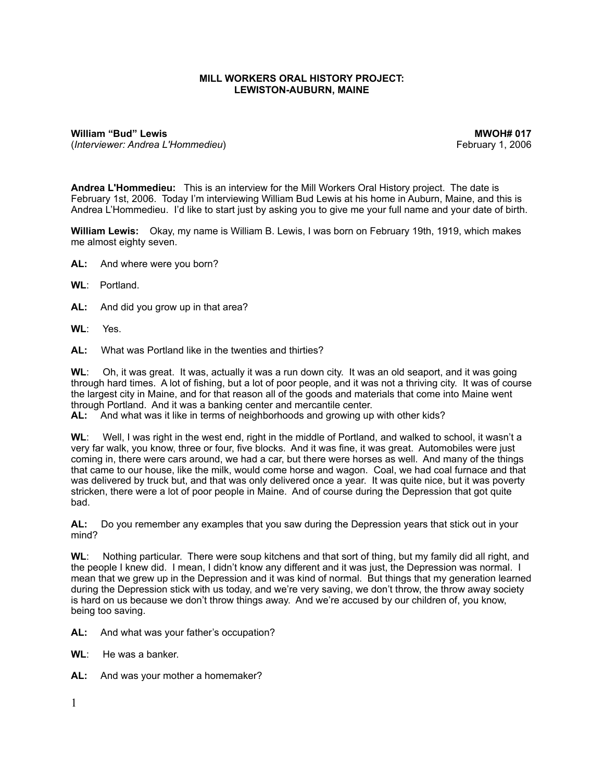## **MILL WORKERS ORAL HISTORY PROJECT: LEWISTON-AUBURN, MAINE**

**William "Bud" Lewis Community Community Community Community Community Community Community Community Community Community Community Community Community Community Community Community Community Community Community Community C** (*Interviewer: Andrea L'Hommedieu*) February 1, 2006

**Andrea L'Hommedieu:** This is an interview for the Mill Workers Oral History project. The date is February 1st, 2006. Today I'm interviewing William Bud Lewis at his home in Auburn, Maine, and this is Andrea L'Hommedieu. I'd like to start just by asking you to give me your full name and your date of birth.

**William Lewis:** Okay, my name is William B. Lewis, I was born on February 19th, 1919, which makes me almost eighty seven.

**AL:** And where were you born?

**WL**: Portland.

- **AL:** And did you grow up in that area?
- **WL**: Yes.

**AL:** What was Portland like in the twenties and thirties?

**WL**: Oh, it was great. It was, actually it was a run down city. It was an old seaport, and it was going through hard times. A lot of fishing, but a lot of poor people, and it was not a thriving city. It was of course the largest city in Maine, and for that reason all of the goods and materials that come into Maine went through Portland. And it was a banking center and mercantile center.

**AL:** And what was it like in terms of neighborhoods and growing up with other kids?

**WL**: Well, I was right in the west end, right in the middle of Portland, and walked to school, it wasn't a very far walk, you know, three or four, five blocks. And it was fine, it was great. Automobiles were just coming in, there were cars around, we had a car, but there were horses as well. And many of the things that came to our house, like the milk, would come horse and wagon. Coal, we had coal furnace and that was delivered by truck but, and that was only delivered once a year. It was quite nice, but it was poverty stricken, there were a lot of poor people in Maine. And of course during the Depression that got quite bad.

**AL:** Do you remember any examples that you saw during the Depression years that stick out in your mind?

**WL**: Nothing particular. There were soup kitchens and that sort of thing, but my family did all right, and the people I knew did. I mean, I didn't know any different and it was just, the Depression was normal. I mean that we grew up in the Depression and it was kind of normal. But things that my generation learned during the Depression stick with us today, and we're very saving, we don't throw, the throw away society is hard on us because we don't throw things away. And we're accused by our children of, you know, being too saving.

**AL:** And what was your father's occupation?

- **WL**: He was a banker.
- **AL:** And was your mother a homemaker?
- 1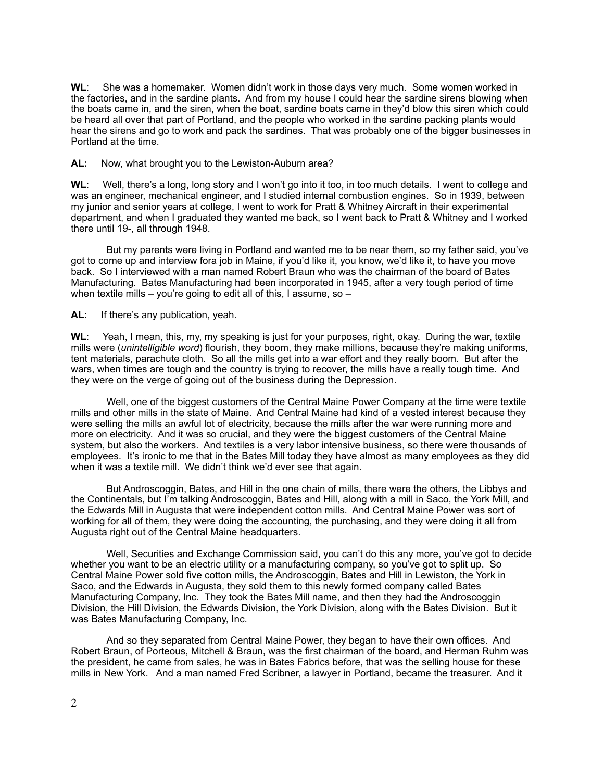**WL**: She was a homemaker. Women didn't work in those days very much. Some women worked in the factories, and in the sardine plants. And from my house I could hear the sardine sirens blowing when the boats came in, and the siren, when the boat, sardine boats came in they'd blow this siren which could be heard all over that part of Portland, and the people who worked in the sardine packing plants would hear the sirens and go to work and pack the sardines. That was probably one of the bigger businesses in Portland at the time.

**AL:** Now, what brought you to the Lewiston-Auburn area?

**WL**: Well, there's a long, long story and I won't go into it too, in too much details. I went to college and was an engineer, mechanical engineer, and I studied internal combustion engines. So in 1939, between my junior and senior years at college, I went to work for Pratt & Whitney Aircraft in their experimental department, and when I graduated they wanted me back, so I went back to Pratt & Whitney and I worked there until 19-, all through 1948.

 But my parents were living in Portland and wanted me to be near them, so my father said, you've got to come up and interview fora job in Maine, if you'd like it, you know, we'd like it, to have you move back. So I interviewed with a man named Robert Braun who was the chairman of the board of Bates Manufacturing. Bates Manufacturing had been incorporated in 1945, after a very tough period of time when textile mills – you're going to edit all of this, I assume, so –

**AL:** If there's any publication, yeah.

**WL**: Yeah, I mean, this, my, my speaking is just for your purposes, right, okay. During the war, textile mills were (*unintelligible word*) flourish, they boom, they make millions, because they're making uniforms, tent materials, parachute cloth. So all the mills get into a war effort and they really boom. But after the wars, when times are tough and the country is trying to recover, the mills have a really tough time. And they were on the verge of going out of the business during the Depression.

 Well, one of the biggest customers of the Central Maine Power Company at the time were textile mills and other mills in the state of Maine. And Central Maine had kind of a vested interest because they were selling the mills an awful lot of electricity, because the mills after the war were running more and more on electricity. And it was so crucial, and they were the biggest customers of the Central Maine system, but also the workers. And textiles is a very labor intensive business, so there were thousands of employees. It's ironic to me that in the Bates Mill today they have almost as many employees as they did when it was a textile mill. We didn't think we'd ever see that again.

 But Androscoggin, Bates, and Hill in the one chain of mills, there were the others, the Libbys and the Continentals, but I'm talking Androscoggin, Bates and Hill, along with a mill in Saco, the York Mill, and the Edwards Mill in Augusta that were independent cotton mills. And Central Maine Power was sort of working for all of them, they were doing the accounting, the purchasing, and they were doing it all from Augusta right out of the Central Maine headquarters.

 Well, Securities and Exchange Commission said, you can't do this any more, you've got to decide whether you want to be an electric utility or a manufacturing company, so you've got to split up. So Central Maine Power sold five cotton mills, the Androscoggin, Bates and Hill in Lewiston, the York in Saco, and the Edwards in Augusta, they sold them to this newly formed company called Bates Manufacturing Company, Inc. They took the Bates Mill name, and then they had the Androscoggin Division, the Hill Division, the Edwards Division, the York Division, along with the Bates Division. But it was Bates Manufacturing Company, Inc.

 And so they separated from Central Maine Power, they began to have their own offices. And Robert Braun, of Porteous, Mitchell & Braun, was the first chairman of the board, and Herman Ruhm was the president, he came from sales, he was in Bates Fabrics before, that was the selling house for these mills in New York. And a man named Fred Scribner, a lawyer in Portland, became the treasurer. And it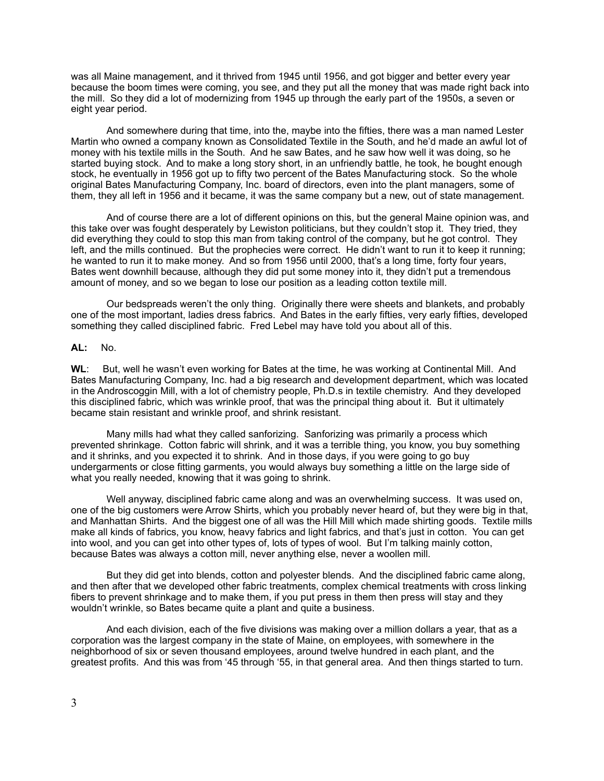was all Maine management, and it thrived from 1945 until 1956, and got bigger and better every year because the boom times were coming, you see, and they put all the money that was made right back into the mill. So they did a lot of modernizing from 1945 up through the early part of the 1950s, a seven or eight year period.

 And somewhere during that time, into the, maybe into the fifties, there was a man named Lester Martin who owned a company known as Consolidated Textile in the South, and he'd made an awful lot of money with his textile mills in the South. And he saw Bates, and he saw how well it was doing, so he started buying stock. And to make a long story short, in an unfriendly battle, he took, he bought enough stock, he eventually in 1956 got up to fifty two percent of the Bates Manufacturing stock. So the whole original Bates Manufacturing Company, Inc. board of directors, even into the plant managers, some of them, they all left in 1956 and it became, it was the same company but a new, out of state management.

 And of course there are a lot of different opinions on this, but the general Maine opinion was, and this take over was fought desperately by Lewiston politicians, but they couldn't stop it. They tried, they did everything they could to stop this man from taking control of the company, but he got control. They left, and the mills continued. But the prophecies were correct. He didn't want to run it to keep it running; he wanted to run it to make money. And so from 1956 until 2000, that's a long time, forty four years, Bates went downhill because, although they did put some money into it, they didn't put a tremendous amount of money, and so we began to lose our position as a leading cotton textile mill.

 Our bedspreads weren't the only thing. Originally there were sheets and blankets, and probably one of the most important, ladies dress fabrics. And Bates in the early fifties, very early fifties, developed something they called disciplined fabric. Fred Lebel may have told you about all of this.

## **AL:** No.

**WL**: But, well he wasn't even working for Bates at the time, he was working at Continental Mill. And Bates Manufacturing Company, Inc. had a big research and development department, which was located in the Androscoggin Mill, with a lot of chemistry people, Ph.D.s in textile chemistry. And they developed this disciplined fabric, which was wrinkle proof, that was the principal thing about it. But it ultimately became stain resistant and wrinkle proof, and shrink resistant.

 Many mills had what they called sanforizing. Sanforizing was primarily a process which prevented shrinkage. Cotton fabric will shrink, and it was a terrible thing, you know, you buy something and it shrinks, and you expected it to shrink. And in those days, if you were going to go buy undergarments or close fitting garments, you would always buy something a little on the large side of what you really needed, knowing that it was going to shrink.

 Well anyway, disciplined fabric came along and was an overwhelming success. It was used on, one of the big customers were Arrow Shirts, which you probably never heard of, but they were big in that, and Manhattan Shirts. And the biggest one of all was the Hill Mill which made shirting goods. Textile mills make all kinds of fabrics, you know, heavy fabrics and light fabrics, and that's just in cotton. You can get into wool, and you can get into other types of, lots of types of wool. But I'm talking mainly cotton, because Bates was always a cotton mill, never anything else, never a woollen mill.

 But they did get into blends, cotton and polyester blends. And the disciplined fabric came along, and then after that we developed other fabric treatments, complex chemical treatments with cross linking fibers to prevent shrinkage and to make them, if you put press in them then press will stay and they wouldn't wrinkle, so Bates became quite a plant and quite a business.

 And each division, each of the five divisions was making over a million dollars a year, that as a corporation was the largest company in the state of Maine, on employees, with somewhere in the neighborhood of six or seven thousand employees, around twelve hundred in each plant, and the greatest profits. And this was from '45 through '55, in that general area. And then things started to turn.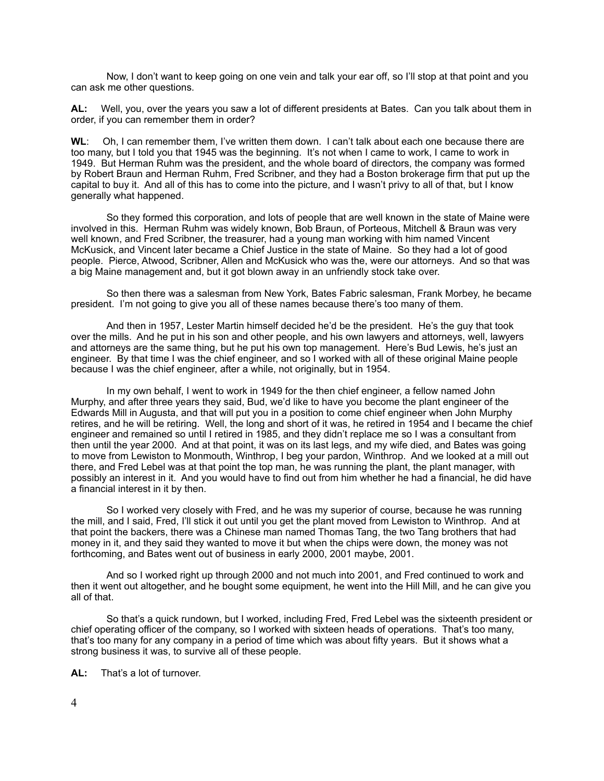Now, I don't want to keep going on one vein and talk your ear off, so I'll stop at that point and you can ask me other questions.

**AL:** Well, you, over the years you saw a lot of different presidents at Bates. Can you talk about them in order, if you can remember them in order?

WL: Oh, I can remember them, I've written them down. I can't talk about each one because there are too many, but I told you that 1945 was the beginning. It's not when I came to work, I came to work in 1949. But Herman Ruhm was the president, and the whole board of directors, the company was formed by Robert Braun and Herman Ruhm, Fred Scribner, and they had a Boston brokerage firm that put up the capital to buy it. And all of this has to come into the picture, and I wasn't privy to all of that, but I know generally what happened.

 So they formed this corporation, and lots of people that are well known in the state of Maine were involved in this. Herman Ruhm was widely known, Bob Braun, of Porteous, Mitchell & Braun was very well known, and Fred Scribner, the treasurer, had a young man working with him named Vincent McKusick, and Vincent later became a Chief Justice in the state of Maine. So they had a lot of good people. Pierce, Atwood, Scribner, Allen and McKusick who was the, were our attorneys. And so that was a big Maine management and, but it got blown away in an unfriendly stock take over.

 So then there was a salesman from New York, Bates Fabric salesman, Frank Morbey, he became president. I'm not going to give you all of these names because there's too many of them.

 And then in 1957, Lester Martin himself decided he'd be the president. He's the guy that took over the mills. And he put in his son and other people, and his own lawyers and attorneys, well, lawyers and attorneys are the same thing, but he put his own top management. Here's Bud Lewis, he's just an engineer. By that time I was the chief engineer, and so I worked with all of these original Maine people because I was the chief engineer, after a while, not originally, but in 1954.

 In my own behalf, I went to work in 1949 for the then chief engineer, a fellow named John Murphy, and after three years they said, Bud, we'd like to have you become the plant engineer of the Edwards Mill in Augusta, and that will put you in a position to come chief engineer when John Murphy retires, and he will be retiring. Well, the long and short of it was, he retired in 1954 and I became the chief engineer and remained so until I retired in 1985, and they didn't replace me so I was a consultant from then until the year 2000. And at that point, it was on its last legs, and my wife died, and Bates was going to move from Lewiston to Monmouth, Winthrop, I beg your pardon, Winthrop. And we looked at a mill out there, and Fred Lebel was at that point the top man, he was running the plant, the plant manager, with possibly an interest in it. And you would have to find out from him whether he had a financial, he did have a financial interest in it by then.

 So I worked very closely with Fred, and he was my superior of course, because he was running the mill, and I said, Fred, I'll stick it out until you get the plant moved from Lewiston to Winthrop. And at that point the backers, there was a Chinese man named Thomas Tang, the two Tang brothers that had money in it, and they said they wanted to move it but when the chips were down, the money was not forthcoming, and Bates went out of business in early 2000, 2001 maybe, 2001.

 And so I worked right up through 2000 and not much into 2001, and Fred continued to work and then it went out altogether, and he bought some equipment, he went into the Hill Mill, and he can give you all of that.

 So that's a quick rundown, but I worked, including Fred, Fred Lebel was the sixteenth president or chief operating officer of the company, so I worked with sixteen heads of operations. That's too many, that's too many for any company in a period of time which was about fifty years. But it shows what a strong business it was, to survive all of these people.

**AL:** That's a lot of turnover.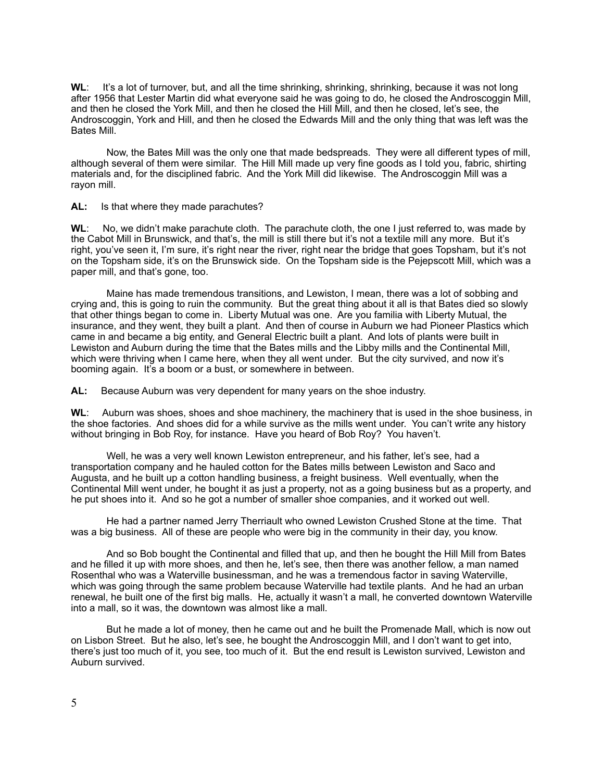**WL**: It's a lot of turnover, but, and all the time shrinking, shrinking, shrinking, because it was not long after 1956 that Lester Martin did what everyone said he was going to do, he closed the Androscoggin Mill, and then he closed the York Mill, and then he closed the Hill Mill, and then he closed, let's see, the Androscoggin, York and Hill, and then he closed the Edwards Mill and the only thing that was left was the Bates Mill.

 Now, the Bates Mill was the only one that made bedspreads. They were all different types of mill, although several of them were similar. The Hill Mill made up very fine goods as I told you, fabric, shirting materials and, for the disciplined fabric. And the York Mill did likewise. The Androscoggin Mill was a rayon mill.

**AL:** Is that where they made parachutes?

**WL**: No, we didn't make parachute cloth. The parachute cloth, the one I just referred to, was made by the Cabot Mill in Brunswick, and that's, the mill is still there but it's not a textile mill any more. But it's right, you've seen it, I'm sure, it's right near the river, right near the bridge that goes Topsham, but it's not on the Topsham side, it's on the Brunswick side. On the Topsham side is the Pejepscott Mill, which was a paper mill, and that's gone, too.

 Maine has made tremendous transitions, and Lewiston, I mean, there was a lot of sobbing and crying and, this is going to ruin the community. But the great thing about it all is that Bates died so slowly that other things began to come in. Liberty Mutual was one. Are you familia with Liberty Mutual, the insurance, and they went, they built a plant. And then of course in Auburn we had Pioneer Plastics which came in and became a big entity, and General Electric built a plant. And lots of plants were built in Lewiston and Auburn during the time that the Bates mills and the Libby mills and the Continental Mill, which were thriving when I came here, when they all went under. But the city survived, and now it's booming again. It's a boom or a bust, or somewhere in between.

**AL:** Because Auburn was very dependent for many years on the shoe industry.

**WL**: Auburn was shoes, shoes and shoe machinery, the machinery that is used in the shoe business, in the shoe factories. And shoes did for a while survive as the mills went under. You can't write any history without bringing in Bob Roy, for instance. Have you heard of Bob Roy? You haven't.

Well, he was a very well known Lewiston entrepreneur, and his father, let's see, had a transportation company and he hauled cotton for the Bates mills between Lewiston and Saco and Augusta, and he built up a cotton handling business, a freight business. Well eventually, when the Continental Mill went under, he bought it as just a property, not as a going business but as a property, and he put shoes into it. And so he got a number of smaller shoe companies, and it worked out well.

 He had a partner named Jerry Therriault who owned Lewiston Crushed Stone at the time. That was a big business. All of these are people who were big in the community in their day, you know.

 And so Bob bought the Continental and filled that up, and then he bought the Hill Mill from Bates and he filled it up with more shoes, and then he, let's see, then there was another fellow, a man named Rosenthal who was a Waterville businessman, and he was a tremendous factor in saving Waterville, which was going through the same problem because Waterville had textile plants. And he had an urban renewal, he built one of the first big malls. He, actually it wasn't a mall, he converted downtown Waterville into a mall, so it was, the downtown was almost like a mall.

 But he made a lot of money, then he came out and he built the Promenade Mall, which is now out on Lisbon Street. But he also, let's see, he bought the Androscoggin Mill, and I don't want to get into, there's just too much of it, you see, too much of it. But the end result is Lewiston survived, Lewiston and Auburn survived.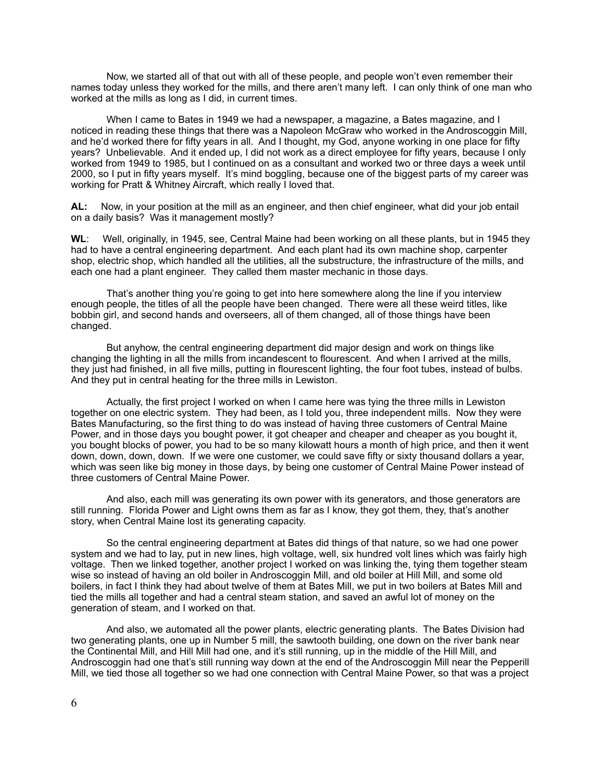Now, we started all of that out with all of these people, and people won't even remember their names today unless they worked for the mills, and there aren't many left. I can only think of one man who worked at the mills as long as I did, in current times.

 When I came to Bates in 1949 we had a newspaper, a magazine, a Bates magazine, and I noticed in reading these things that there was a Napoleon McGraw who worked in the Androscoggin Mill, and he'd worked there for fifty years in all. And I thought, my God, anyone working in one place for fifty years? Unbelievable. And it ended up, I did not work as a direct employee for fifty years, because I only worked from 1949 to 1985, but I continued on as a consultant and worked two or three days a week until 2000, so I put in fifty years myself. It's mind boggling, because one of the biggest parts of my career was working for Pratt & Whitney Aircraft, which really I loved that.

**AL:** Now, in your position at the mill as an engineer, and then chief engineer, what did your job entail on a daily basis? Was it management mostly?

**WL**: Well, originally, in 1945, see, Central Maine had been working on all these plants, but in 1945 they had to have a central engineering department. And each plant had its own machine shop, carpenter shop, electric shop, which handled all the utilities, all the substructure, the infrastructure of the mills, and each one had a plant engineer. They called them master mechanic in those days.

 That's another thing you're going to get into here somewhere along the line if you interview enough people, the titles of all the people have been changed. There were all these weird titles, like bobbin girl, and second hands and overseers, all of them changed, all of those things have been changed.

 But anyhow, the central engineering department did major design and work on things like changing the lighting in all the mills from incandescent to flourescent. And when I arrived at the mills, they just had finished, in all five mills, putting in flourescent lighting, the four foot tubes, instead of bulbs. And they put in central heating for the three mills in Lewiston.

 Actually, the first project I worked on when I came here was tying the three mills in Lewiston together on one electric system. They had been, as I told you, three independent mills. Now they were Bates Manufacturing, so the first thing to do was instead of having three customers of Central Maine Power, and in those days you bought power, it got cheaper and cheaper and cheaper as you bought it, you bought blocks of power, you had to be so many kilowatt hours a month of high price, and then it went down, down, down, down. If we were one customer, we could save fifty or sixty thousand dollars a year, which was seen like big money in those days, by being one customer of Central Maine Power instead of three customers of Central Maine Power.

 And also, each mill was generating its own power with its generators, and those generators are still running. Florida Power and Light owns them as far as I know, they got them, they, that's another story, when Central Maine lost its generating capacity.

 So the central engineering department at Bates did things of that nature, so we had one power system and we had to lay, put in new lines, high voltage, well, six hundred volt lines which was fairly high voltage. Then we linked together, another project I worked on was linking the, tying them together steam wise so instead of having an old boiler in Androscoggin Mill, and old boiler at Hill Mill, and some old boilers, in fact I think they had about twelve of them at Bates Mill, we put in two boilers at Bates Mill and tied the mills all together and had a central steam station, and saved an awful lot of money on the generation of steam, and I worked on that.

 And also, we automated all the power plants, electric generating plants. The Bates Division had two generating plants, one up in Number 5 mill, the sawtooth building, one down on the river bank near the Continental Mill, and Hill Mill had one, and it's still running, up in the middle of the Hill Mill, and Androscoggin had one that's still running way down at the end of the Androscoggin Mill near the Pepperill Mill, we tied those all together so we had one connection with Central Maine Power, so that was a project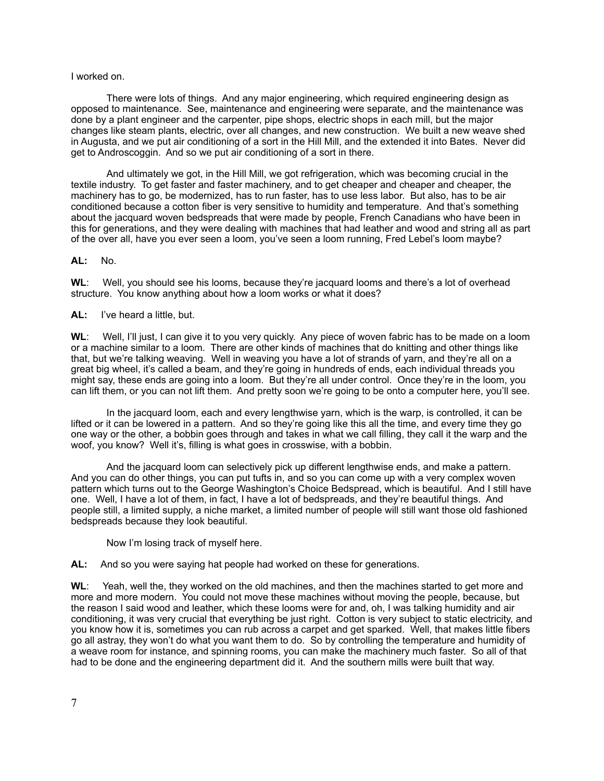## I worked on.

 There were lots of things. And any major engineering, which required engineering design as opposed to maintenance. See, maintenance and engineering were separate, and the maintenance was done by a plant engineer and the carpenter, pipe shops, electric shops in each mill, but the major changes like steam plants, electric, over all changes, and new construction. We built a new weave shed in Augusta, and we put air conditioning of a sort in the Hill Mill, and the extended it into Bates. Never did get to Androscoggin. And so we put air conditioning of a sort in there.

 And ultimately we got, in the Hill Mill, we got refrigeration, which was becoming crucial in the textile industry. To get faster and faster machinery, and to get cheaper and cheaper and cheaper, the machinery has to go, be modernized, has to run faster, has to use less labor. But also, has to be air conditioned because a cotton fiber is very sensitive to humidity and temperature. And that's something about the jacquard woven bedspreads that were made by people, French Canadians who have been in this for generations, and they were dealing with machines that had leather and wood and string all as part of the over all, have you ever seen a loom, you've seen a loom running, Fred Lebel's loom maybe?

**AL:** No.

WL: Well, you should see his looms, because they're jacquard looms and there's a lot of overhead structure. You know anything about how a loom works or what it does?

**AL:** I've heard a little, but.

**WL**: Well, I'll just, I can give it to you very quickly. Any piece of woven fabric has to be made on a loom or a machine similar to a loom. There are other kinds of machines that do knitting and other things like that, but we're talking weaving. Well in weaving you have a lot of strands of yarn, and they're all on a great big wheel, it's called a beam, and they're going in hundreds of ends, each individual threads you might say, these ends are going into a loom. But they're all under control. Once they're in the loom, you can lift them, or you can not lift them. And pretty soon we're going to be onto a computer here, you'll see.

 In the jacquard loom, each and every lengthwise yarn, which is the warp, is controlled, it can be lifted or it can be lowered in a pattern. And so they're going like this all the time, and every time they go one way or the other, a bobbin goes through and takes in what we call filling, they call it the warp and the woof, you know? Well it's, filling is what goes in crosswise, with a bobbin.

 And the jacquard loom can selectively pick up different lengthwise ends, and make a pattern. And you can do other things, you can put tufts in, and so you can come up with a very complex woven pattern which turns out to the George Washington's Choice Bedspread, which is beautiful. And I still have one. Well, I have a lot of them, in fact, I have a lot of bedspreads, and they're beautiful things. And people still, a limited supply, a niche market, a limited number of people will still want those old fashioned bedspreads because they look beautiful.

Now I'm losing track of myself here.

**AL:** And so you were saying hat people had worked on these for generations.

**WL**: Yeah, well the, they worked on the old machines, and then the machines started to get more and more and more modern. You could not move these machines without moving the people, because, but the reason I said wood and leather, which these looms were for and, oh, I was talking humidity and air conditioning, it was very crucial that everything be just right. Cotton is very subject to static electricity, and you know how it is, sometimes you can rub across a carpet and get sparked. Well, that makes little fibers go all astray, they won't do what you want them to do. So by controlling the temperature and humidity of a weave room for instance, and spinning rooms, you can make the machinery much faster. So all of that had to be done and the engineering department did it. And the southern mills were built that way.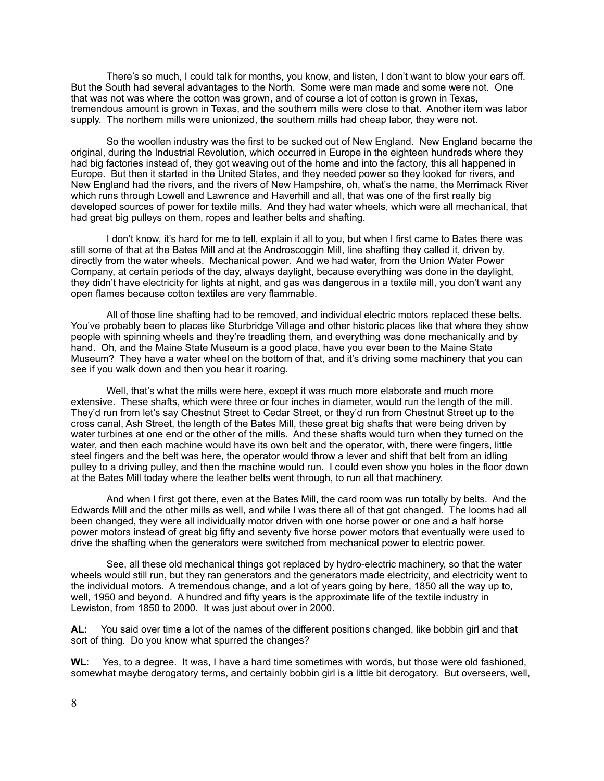There's so much, I could talk for months, you know, and listen, I don't want to blow your ears off. But the South had several advantages to the North. Some were man made and some were not. One that was not was where the cotton was grown, and of course a lot of cotton is grown in Texas, tremendous amount is grown in Texas, and the southern mills were close to that. Another item was labor supply. The northern mills were unionized, the southern mills had cheap labor, they were not.

 So the woollen industry was the first to be sucked out of New England. New England became the original, during the Industrial Revolution, which occurred in Europe in the eighteen hundreds where they had big factories instead of, they got weaving out of the home and into the factory, this all happened in Europe. But then it started in the United States, and they needed power so they looked for rivers, and New England had the rivers, and the rivers of New Hampshire, oh, what's the name, the Merrimack River which runs through Lowell and Lawrence and Haverhill and all, that was one of the first really big developed sources of power for textile mills. And they had water wheels, which were all mechanical, that had great big pulleys on them, ropes and leather belts and shafting.

 I don't know, it's hard for me to tell, explain it all to you, but when I first came to Bates there was still some of that at the Bates Mill and at the Androscoggin Mill, line shafting they called it, driven by, directly from the water wheels. Mechanical power. And we had water, from the Union Water Power Company, at certain periods of the day, always daylight, because everything was done in the daylight, they didn't have electricity for lights at night, and gas was dangerous in a textile mill, you don't want any open flames because cotton textiles are very flammable.

 All of those line shafting had to be removed, and individual electric motors replaced these belts. You've probably been to places like Sturbridge Village and other historic places like that where they show people with spinning wheels and they're treadling them, and everything was done mechanically and by hand. Oh, and the Maine State Museum is a good place, have you ever been to the Maine State Museum? They have a water wheel on the bottom of that, and it's driving some machinery that you can see if you walk down and then you hear it roaring.

 Well, that's what the mills were here, except it was much more elaborate and much more extensive. These shafts, which were three or four inches in diameter, would run the length of the mill. They'd run from let's say Chestnut Street to Cedar Street, or they'd run from Chestnut Street up to the cross canal, Ash Street, the length of the Bates Mill, these great big shafts that were being driven by water turbines at one end or the other of the mills. And these shafts would turn when they turned on the water, and then each machine would have its own belt and the operator, with, there were fingers, little steel fingers and the belt was here, the operator would throw a lever and shift that belt from an idling pulley to a driving pulley, and then the machine would run. I could even show you holes in the floor down at the Bates Mill today where the leather belts went through, to run all that machinery.

 And when I first got there, even at the Bates Mill, the card room was run totally by belts. And the Edwards Mill and the other mills as well, and while I was there all of that got changed. The looms had all been changed, they were all individually motor driven with one horse power or one and a half horse power motors instead of great big fifty and seventy five horse power motors that eventually were used to drive the shafting when the generators were switched from mechanical power to electric power.

 See, all these old mechanical things got replaced by hydro-electric machinery, so that the water wheels would still run, but they ran generators and the generators made electricity, and electricity went to the individual motors. A tremendous change, and a lot of years going by here, 1850 all the way up to, well, 1950 and beyond. A hundred and fifty years is the approximate life of the textile industry in Lewiston, from 1850 to 2000. It was just about over in 2000.

**AL:** You said over time a lot of the names of the different positions changed, like bobbin girl and that sort of thing. Do you know what spurred the changes?

**WL**: Yes, to a degree. It was, I have a hard time sometimes with words, but those were old fashioned, somewhat maybe derogatory terms, and certainly bobbin girl is a little bit derogatory. But overseers, well,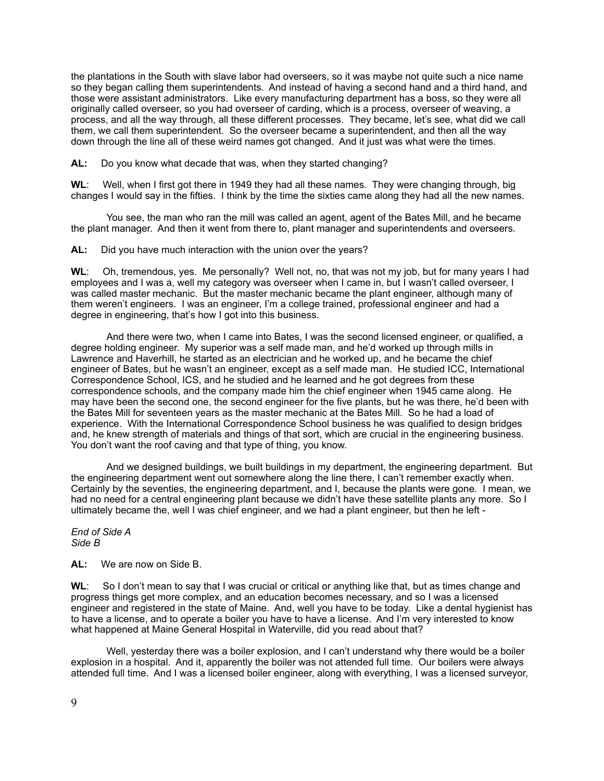the plantations in the South with slave labor had overseers, so it was maybe not quite such a nice name so they began calling them superintendents. And instead of having a second hand and a third hand, and those were assistant administrators. Like every manufacturing department has a boss, so they were all originally called overseer, so you had overseer of carding, which is a process, overseer of weaving, a process, and all the way through, all these different processes. They became, let's see, what did we call them, we call them superintendent. So the overseer became a superintendent, and then all the way down through the line all of these weird names got changed. And it just was what were the times.

**AL:** Do you know what decade that was, when they started changing?

**WL**: Well, when I first got there in 1949 they had all these names. They were changing through, big changes I would say in the fifties. I think by the time the sixties came along they had all the new names.

 You see, the man who ran the mill was called an agent, agent of the Bates Mill, and he became the plant manager. And then it went from there to, plant manager and superintendents and overseers.

**AL:** Did you have much interaction with the union over the years?

**WL**: Oh, tremendous, yes. Me personally? Well not, no, that was not my job, but for many years I had employees and I was a, well my category was overseer when I came in, but I wasn't called overseer, I was called master mechanic. But the master mechanic became the plant engineer, although many of them weren't engineers. I was an engineer, I'm a college trained, professional engineer and had a degree in engineering, that's how I got into this business.

 And there were two, when I came into Bates, I was the second licensed engineer, or qualified, a degree holding engineer. My superior was a self made man, and he'd worked up through mills in Lawrence and Haverhill, he started as an electrician and he worked up, and he became the chief engineer of Bates, but he wasn't an engineer, except as a self made man. He studied ICC, International Correspondence School, ICS, and he studied and he learned and he got degrees from these correspondence schools, and the company made him the chief engineer when 1945 came along. He may have been the second one, the second engineer for the five plants, but he was there, he'd been with the Bates Mill for seventeen years as the master mechanic at the Bates Mill. So he had a load of experience. With the International Correspondence School business he was qualified to design bridges and, he knew strength of materials and things of that sort, which are crucial in the engineering business. You don't want the roof caving and that type of thing, you know.

 And we designed buildings, we built buildings in my department, the engineering department. But the engineering department went out somewhere along the line there, I can't remember exactly when. Certainly by the seventies, the engineering department, and I, because the plants were gone. I mean, we had no need for a central engineering plant because we didn't have these satellite plants any more. So I ultimately became the, well I was chief engineer, and we had a plant engineer, but then he left -

*End of Side A Side B*

**AL:** We are now on Side B.

**WL**: So I don't mean to say that I was crucial or critical or anything like that, but as times change and progress things get more complex, and an education becomes necessary, and so I was a licensed engineer and registered in the state of Maine. And, well you have to be today. Like a dental hygienist has to have a license, and to operate a boiler you have to have a license. And I'm very interested to know what happened at Maine General Hospital in Waterville, did you read about that?

Well, yesterday there was a boiler explosion, and I can't understand why there would be a boiler explosion in a hospital. And it, apparently the boiler was not attended full time. Our boilers were always attended full time. And I was a licensed boiler engineer, along with everything, I was a licensed surveyor,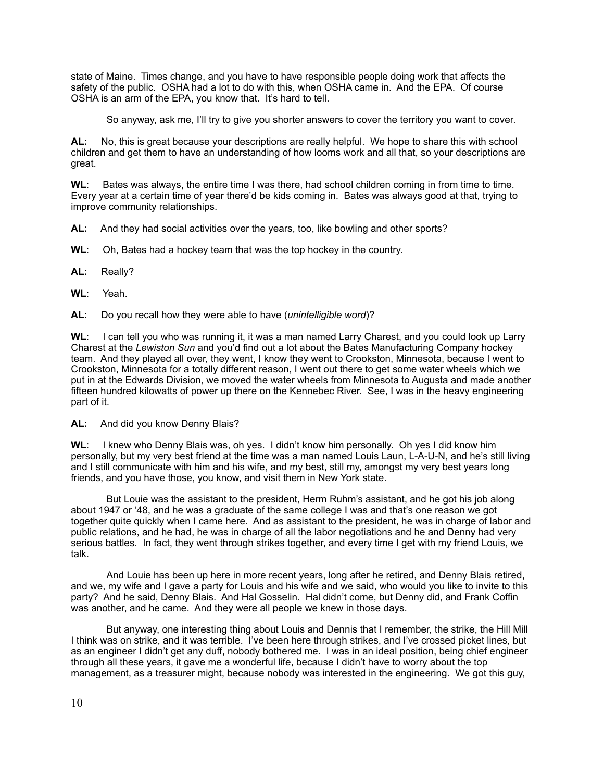state of Maine. Times change, and you have to have responsible people doing work that affects the safety of the public. OSHA had a lot to do with this, when OSHA came in. And the EPA. Of course OSHA is an arm of the EPA, you know that. It's hard to tell.

So anyway, ask me, I'll try to give you shorter answers to cover the territory you want to cover.

**AL:** No, this is great because your descriptions are really helpful. We hope to share this with school children and get them to have an understanding of how looms work and all that, so your descriptions are great.

**WL**: Bates was always, the entire time I was there, had school children coming in from time to time. Every year at a certain time of year there'd be kids coming in. Bates was always good at that, trying to improve community relationships.

**AL:** And they had social activities over the years, too, like bowling and other sports?

**WL**: Oh, Bates had a hockey team that was the top hockey in the country.

**AL:** Really?

**WL**: Yeah.

**AL:** Do you recall how they were able to have (*unintelligible word*)?

**WL**: I can tell you who was running it, it was a man named Larry Charest, and you could look up Larry Charest at the *Lewiston Sun* and you'd find out a lot about the Bates Manufacturing Company hockey team. And they played all over, they went, I know they went to Crookston, Minnesota, because I went to Crookston, Minnesota for a totally different reason, I went out there to get some water wheels which we put in at the Edwards Division, we moved the water wheels from Minnesota to Augusta and made another fifteen hundred kilowatts of power up there on the Kennebec River. See, I was in the heavy engineering part of it.

**AL:** And did you know Denny Blais?

**WL**: I knew who Denny Blais was, oh yes. I didn't know him personally. Oh yes I did know him personally, but my very best friend at the time was a man named Louis Laun, L-A-U-N, and he's still living and I still communicate with him and his wife, and my best, still my, amongst my very best years long friends, and you have those, you know, and visit them in New York state.

 But Louie was the assistant to the president, Herm Ruhm's assistant, and he got his job along about 1947 or '48, and he was a graduate of the same college I was and that's one reason we got together quite quickly when I came here. And as assistant to the president, he was in charge of labor and public relations, and he had, he was in charge of all the labor negotiations and he and Denny had very serious battles. In fact, they went through strikes together, and every time I get with my friend Louis, we talk.

 And Louie has been up here in more recent years, long after he retired, and Denny Blais retired, and we, my wife and I gave a party for Louis and his wife and we said, who would you like to invite to this party? And he said, Denny Blais. And Hal Gosselin. Hal didn't come, but Denny did, and Frank Coffin was another, and he came. And they were all people we knew in those days.

 But anyway, one interesting thing about Louis and Dennis that I remember, the strike, the Hill Mill I think was on strike, and it was terrible. I've been here through strikes, and I've crossed picket lines, but as an engineer I didn't get any duff, nobody bothered me. I was in an ideal position, being chief engineer through all these years, it gave me a wonderful life, because I didn't have to worry about the top management, as a treasurer might, because nobody was interested in the engineering. We got this guy,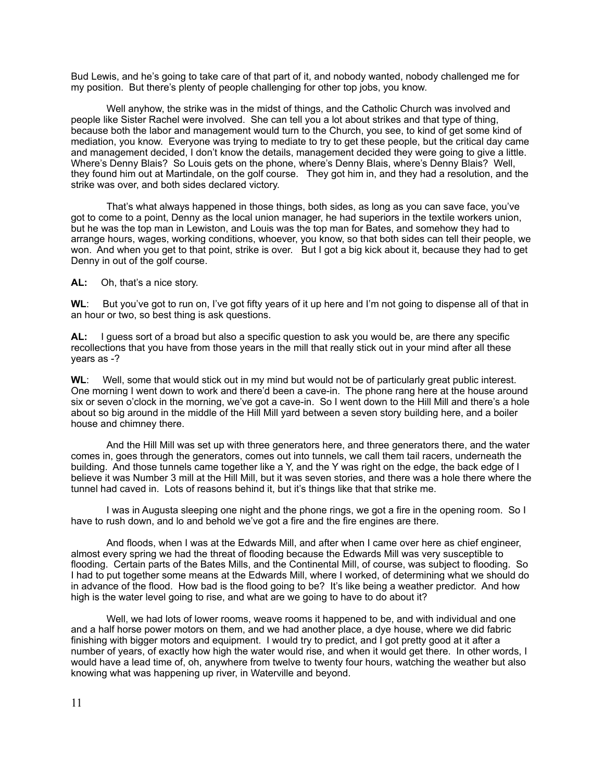Bud Lewis, and he's going to take care of that part of it, and nobody wanted, nobody challenged me for my position. But there's plenty of people challenging for other top jobs, you know.

 Well anyhow, the strike was in the midst of things, and the Catholic Church was involved and people like Sister Rachel were involved. She can tell you a lot about strikes and that type of thing, because both the labor and management would turn to the Church, you see, to kind of get some kind of mediation, you know. Everyone was trying to mediate to try to get these people, but the critical day came and management decided, I don't know the details, management decided they were going to give a little. Where's Denny Blais? So Louis gets on the phone, where's Denny Blais, where's Denny Blais? Well, they found him out at Martindale, on the golf course. They got him in, and they had a resolution, and the strike was over, and both sides declared victory.

 That's what always happened in those things, both sides, as long as you can save face, you've got to come to a point, Denny as the local union manager, he had superiors in the textile workers union, but he was the top man in Lewiston, and Louis was the top man for Bates, and somehow they had to arrange hours, wages, working conditions, whoever, you know, so that both sides can tell their people, we won. And when you get to that point, strike is over. But I got a big kick about it, because they had to get Denny in out of the golf course.

**AL:** Oh, that's a nice story.

**WL**: But you've got to run on, I've got fifty years of it up here and I'm not going to dispense all of that in an hour or two, so best thing is ask questions.

**AL:** I guess sort of a broad but also a specific question to ask you would be, are there any specific recollections that you have from those years in the mill that really stick out in your mind after all these years as -?

**WL**: Well, some that would stick out in my mind but would not be of particularly great public interest. One morning I went down to work and there'd been a cave-in. The phone rang here at the house around six or seven o'clock in the morning, we've got a cave-in. So I went down to the Hill Mill and there's a hole about so big around in the middle of the Hill Mill yard between a seven story building here, and a boiler house and chimney there.

 And the Hill Mill was set up with three generators here, and three generators there, and the water comes in, goes through the generators, comes out into tunnels, we call them tail racers, underneath the building. And those tunnels came together like a Y, and the Y was right on the edge, the back edge of I believe it was Number 3 mill at the Hill Mill, but it was seven stories, and there was a hole there where the tunnel had caved in. Lots of reasons behind it, but it's things like that that strike me.

 I was in Augusta sleeping one night and the phone rings, we got a fire in the opening room. So I have to rush down, and lo and behold we've got a fire and the fire engines are there.

 And floods, when I was at the Edwards Mill, and after when I came over here as chief engineer, almost every spring we had the threat of flooding because the Edwards Mill was very susceptible to flooding. Certain parts of the Bates Mills, and the Continental Mill, of course, was subject to flooding. So I had to put together some means at the Edwards Mill, where I worked, of determining what we should do in advance of the flood. How bad is the flood going to be? It's like being a weather predictor. And how high is the water level going to rise, and what are we going to have to do about it?

 Well, we had lots of lower rooms, weave rooms it happened to be, and with individual and one and a half horse power motors on them, and we had another place, a dye house, where we did fabric finishing with bigger motors and equipment. I would try to predict, and I got pretty good at it after a number of years, of exactly how high the water would rise, and when it would get there. In other words, I would have a lead time of, oh, anywhere from twelve to twenty four hours, watching the weather but also knowing what was happening up river, in Waterville and beyond.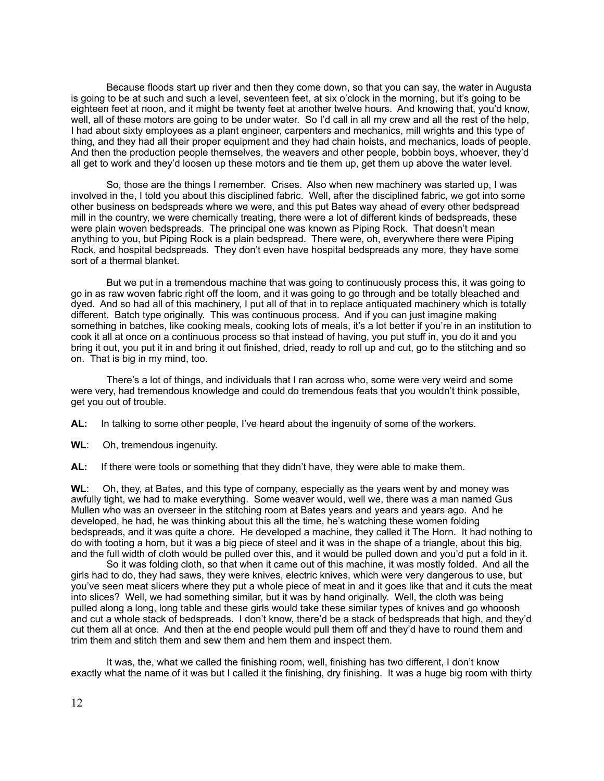Because floods start up river and then they come down, so that you can say, the water in Augusta is going to be at such and such a level, seventeen feet, at six o'clock in the morning, but it's going to be eighteen feet at noon, and it might be twenty feet at another twelve hours. And knowing that, you'd know, well, all of these motors are going to be under water. So I'd call in all my crew and all the rest of the help, I had about sixty employees as a plant engineer, carpenters and mechanics, mill wrights and this type of thing, and they had all their proper equipment and they had chain hoists, and mechanics, loads of people. And then the production people themselves, the weavers and other people, bobbin boys, whoever, they'd all get to work and they'd loosen up these motors and tie them up, get them up above the water level.

 So, those are the things I remember. Crises. Also when new machinery was started up, I was involved in the, I told you about this disciplined fabric. Well, after the disciplined fabric, we got into some other business on bedspreads where we were, and this put Bates way ahead of every other bedspread mill in the country, we were chemically treating, there were a lot of different kinds of bedspreads, these were plain woven bedspreads. The principal one was known as Piping Rock. That doesn't mean anything to you, but Piping Rock is a plain bedspread. There were, oh, everywhere there were Piping Rock, and hospital bedspreads. They don't even have hospital bedspreads any more, they have some sort of a thermal blanket.

 But we put in a tremendous machine that was going to continuously process this, it was going to go in as raw woven fabric right off the loom, and it was going to go through and be totally bleached and dyed. And so had all of this machinery, I put all of that in to replace antiquated machinery which is totally different. Batch type originally. This was continuous process. And if you can just imagine making something in batches, like cooking meals, cooking lots of meals, it's a lot better if you're in an institution to cook it all at once on a continuous process so that instead of having, you put stuff in, you do it and you bring it out, you put it in and bring it out finished, dried, ready to roll up and cut, go to the stitching and so on. That is big in my mind, too.

 There's a lot of things, and individuals that I ran across who, some were very weird and some were very, had tremendous knowledge and could do tremendous feats that you wouldn't think possible, get you out of trouble.

**AL:** In talking to some other people, I've heard about the ingenuity of some of the workers.

**WL**: Oh, tremendous ingenuity.

**AL:** If there were tools or something that they didn't have, they were able to make them.

**WL**: Oh, they, at Bates, and this type of company, especially as the years went by and money was awfully tight, we had to make everything. Some weaver would, well we, there was a man named Gus Mullen who was an overseer in the stitching room at Bates years and years and years ago. And he developed, he had, he was thinking about this all the time, he's watching these women folding bedspreads, and it was quite a chore. He developed a machine, they called it The Horn. It had nothing to do with tooting a horn, but it was a big piece of steel and it was in the shape of a triangle, about this big, and the full width of cloth would be pulled over this, and it would be pulled down and you'd put a fold in it.

 So it was folding cloth, so that when it came out of this machine, it was mostly folded. And all the girls had to do, they had saws, they were knives, electric knives, which were very dangerous to use, but you've seen meat slicers where they put a whole piece of meat in and it goes like that and it cuts the meat into slices? Well, we had something similar, but it was by hand originally. Well, the cloth was being pulled along a long, long table and these girls would take these similar types of knives and go whooosh and cut a whole stack of bedspreads. I don't know, there'd be a stack of bedspreads that high, and they'd cut them all at once. And then at the end people would pull them off and they'd have to round them and trim them and stitch them and sew them and hem them and inspect them.

 It was, the, what we called the finishing room, well, finishing has two different, I don't know exactly what the name of it was but I called it the finishing, dry finishing. It was a huge big room with thirty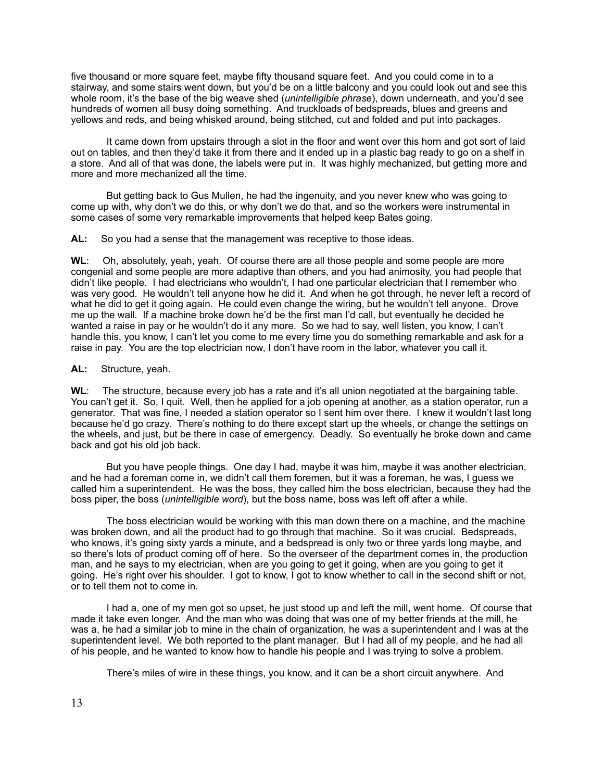five thousand or more square feet, maybe fifty thousand square feet. And you could come in to a stairway, and some stairs went down, but you'd be on a little balcony and you could look out and see this whole room, it's the base of the big weave shed (*unintelligible phrase*), down underneath, and you'd see hundreds of women all busy doing something. And truckloads of bedspreads, blues and greens and yellows and reds, and being whisked around, being stitched, cut and folded and put into packages.

 It came down from upstairs through a slot in the floor and went over this horn and got sort of laid out on tables, and then they'd take it from there and it ended up in a plastic bag ready to go on a shelf in a store. And all of that was done, the labels were put in. It was highly mechanized, but getting more and more and more mechanized all the time.

 But getting back to Gus Mullen, he had the ingenuity, and you never knew who was going to come up with, why don't we do this, or why don't we do that, and so the workers were instrumental in some cases of some very remarkable improvements that helped keep Bates going.

**AL:** So you had a sense that the management was receptive to those ideas.

**WL**: Oh, absolutely, yeah, yeah. Of course there are all those people and some people are more congenial and some people are more adaptive than others, and you had animosity, you had people that didn't like people. I had electricians who wouldn't, I had one particular electrician that I remember who was very good. He wouldn't tell anyone how he did it. And when he got through, he never left a record of what he did to get it going again. He could even change the wiring, but he wouldn't tell anyone. Drove me up the wall. If a machine broke down he'd be the first man I'd call, but eventually he decided he wanted a raise in pay or he wouldn't do it any more. So we had to say, well listen, you know, I can't handle this, you know, I can't let you come to me every time you do something remarkable and ask for a raise in pay. You are the top electrician now, I don't have room in the labor, whatever you call it.

## **AL:** Structure, yeah.

**WL**: The structure, because every job has a rate and it's all union negotiated at the bargaining table. You can't get it. So, I quit. Well, then he applied for a job opening at another, as a station operator, run a generator. That was fine, I needed a station operator so I sent him over there. I knew it wouldn't last long because he'd go crazy. There's nothing to do there except start up the wheels, or change the settings on the wheels, and just, but be there in case of emergency. Deadly. So eventually he broke down and came back and got his old job back.

 But you have people things. One day I had, maybe it was him, maybe it was another electrician, and he had a foreman come in, we didn't call them foremen, but it was a foreman, he was, I guess we called him a superintendent. He was the boss, they called him the boss electrician, because they had the boss piper, the boss (*unintelligible word*), but the boss name, boss was left off after a while.

 The boss electrician would be working with this man down there on a machine, and the machine was broken down, and all the product had to go through that machine. So it was crucial. Bedspreads, who knows, it's going sixty yards a minute, and a bedspread is only two or three yards long maybe, and so there's lots of product coming off of here. So the overseer of the department comes in, the production man, and he says to my electrician, when are you going to get it going, when are you going to get it going. He's right over his shoulder. I got to know, I got to know whether to call in the second shift or not, or to tell them not to come in.

 I had a, one of my men got so upset, he just stood up and left the mill, went home. Of course that made it take even longer. And the man who was doing that was one of my better friends at the mill, he was a, he had a similar job to mine in the chain of organization, he was a superintendent and I was at the superintendent level. We both reported to the plant manager. But I had all of my people, and he had all of his people, and he wanted to know how to handle his people and I was trying to solve a problem.

There's miles of wire in these things, you know, and it can be a short circuit anywhere. And